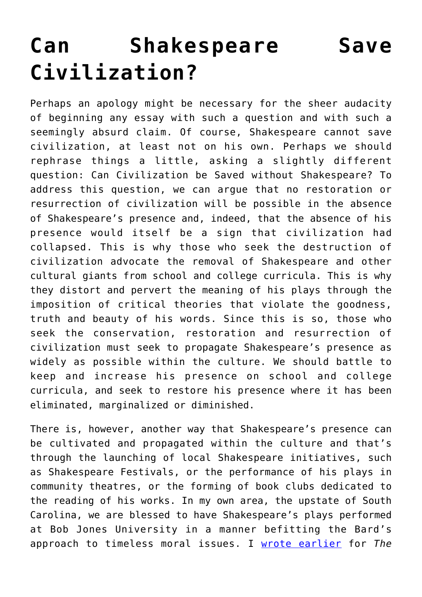## **[Can Shakespeare Save](https://intellectualtakeout.org/2018/09/can-shakespeare-save-civilization/) [Civilization?](https://intellectualtakeout.org/2018/09/can-shakespeare-save-civilization/)**

Perhaps an apology might be necessary for the sheer audacity of beginning any essay with such a question and with such a seemingly absurd claim. Of course, Shakespeare cannot save civilization, at least not on his own. Perhaps we should rephrase things a little, asking a slightly different question: Can Civilization be Saved without Shakespeare? To address this question, we can argue that no restoration or resurrection of civilization will be possible in the absence of Shakespeare's presence and, indeed, that the absence of his presence would itself be a sign that civilization had collapsed. This is why those who seek the destruction of civilization advocate the removal of Shakespeare and other cultural giants from school and college curricula. This is why they distort and pervert the meaning of his plays through the imposition of critical theories that violate the goodness, truth and beauty of his words. Since this is so, those who seek the conservation, restoration and resurrection of civilization must seek to propagate Shakespeare's presence as widely as possible within the culture. We should battle to keep and increase his presence on school and college curricula, and seek to restore his presence where it has been eliminated, marginalized or diminished.

There is, however, another way that Shakespeare's presence can be cultivated and propagated within the culture and that's through the launching of local Shakespeare initiatives, such as Shakespeare Festivals, or the performance of his plays in community theatres, or the forming of book clubs dedicated to the reading of his works. In my own area, the upstate of South Carolina, we are blessed to have Shakespeare's plays performed at Bob Jones University in a manner befitting the Bard's approach to timeless moral issues. I [wrote earlier](http://www.theimaginativeconservative.org/2017/03/imaginative-conservatism-bob-jones-university-joseph-pearce.html) for *The*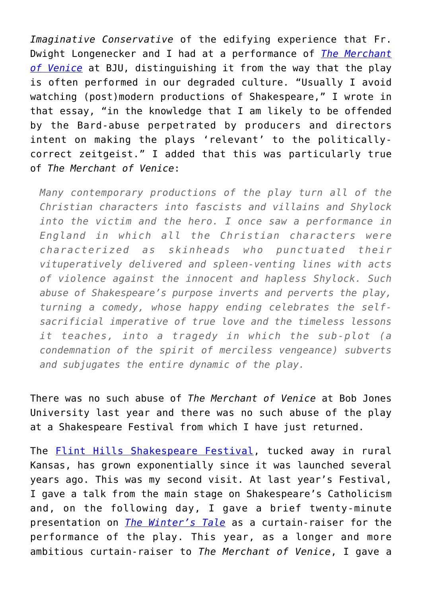*Imaginative Conservative* of the edifying experience that Fr. Dwight Longenecker and I had at a performance of *[The Merchant](https://smile.amazon.com/Merchant-Venice-Folger-Shakespeare-Library/dp/0743477561/ref=sr_1_3?ie=UTF8&qid=1536987472&sr=8-3&keywords=The+Merchant+of+Venice) [of Venice](https://smile.amazon.com/Merchant-Venice-Folger-Shakespeare-Library/dp/0743477561/ref=sr_1_3?ie=UTF8&qid=1536987472&sr=8-3&keywords=The+Merchant+of+Venice)* at BJU, distinguishing it from the way that the play is often performed in our degraded culture. "Usually I avoid watching (post)modern productions of Shakespeare," I wrote in that essay, "in the knowledge that I am likely to be offended by the Bard-abuse perpetrated by producers and directors intent on making the plays 'relevant' to the politicallycorrect zeitgeist." I added that this was particularly true of *The Merchant of Venice*:

*Many contemporary productions of the play turn all of the Christian characters into fascists and villains and Shylock into the victim and the hero. I once saw a performance in England in which all the Christian characters were characterized as skinheads who punctuated their vituperatively delivered and spleen-venting lines with acts of violence against the innocent and hapless Shylock. Such abuse of Shakespeare's purpose inverts and perverts the play, turning a comedy, whose happy ending celebrates the selfsacrificial imperative of true love and the timeless lessons it teaches, into a tragedy in which the sub-plot (a condemnation of the spirit of merciless vengeance) subverts and subjugates the entire dynamic of the play.*

There was no such abuse of *The Merchant of Venice* at Bob Jones University last year and there was no such abuse of the play at a Shakespeare Festival from which I have just returned.

The **[Flint Hills Shakespeare Festival](http://www.flinthillsshakespearefestival.com/)**, tucked away in rural Kansas, has grown exponentially since it was launched several years ago. This was my second visit. At last year's Festival, I gave a talk from the main stage on Shakespeare's Catholicism and, on the following day, I gave a brief twenty-minute presentation on *[The Winter's Tale](https://smile.amazon.com/Winters-Tale-Folger-Shakespeare-Library/dp/0743484894/ref=sr_1_2?s=books&ie=UTF8&qid=1536987546&sr=1-2&keywords=The+Winter%E2%80%99s+Tale)* as a curtain-raiser for the performance of the play. This year, as a longer and more ambitious curtain-raiser to *The Merchant of Venice*, I gave a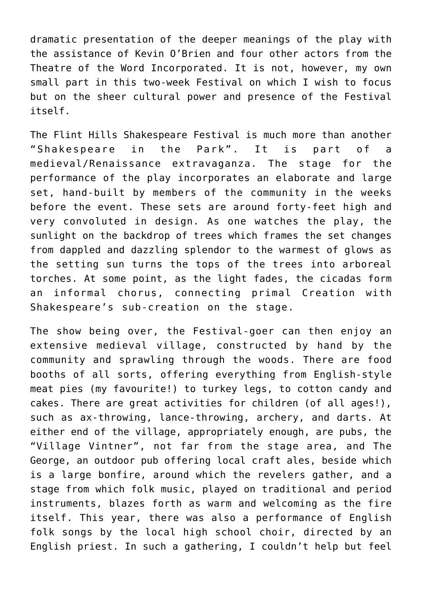dramatic presentation of the deeper meanings of the play with the assistance of Kevin O'Brien and four other actors from the Theatre of the Word Incorporated. It is not, however, my own small part in this two-week Festival on which I wish to focus but on the sheer cultural power and presence of the Festival itself.

The Flint Hills Shakespeare Festival is much more than another "Shakespeare in the Park". It is part of a medieval/Renaissance extravaganza. The stage for the performance of the play incorporates an elaborate and large set, hand-built by members of the community in the weeks before the event. These sets are around forty-feet high and very convoluted in design. As one watches the play, the sunlight on the backdrop of trees which frames the set changes from dappled and dazzling splendor to the warmest of glows as the setting sun turns the tops of the trees into arboreal torches. At some point, as the light fades, the cicadas form an informal chorus, connecting primal Creation with Shakespeare's sub-creation on the stage.

The show being over, the Festival-goer can then enjoy an extensive medieval village, constructed by hand by the community and sprawling through the woods. There are food booths of all sorts, offering everything from English-style meat pies (my favourite!) to turkey legs, to cotton candy and cakes. There are great activities for children (of all ages!), such as ax-throwing, lance-throwing, archery, and darts. At either end of the village, appropriately enough, are pubs, the "Village Vintner", not far from the stage area, and The George, an outdoor pub offering local craft ales, beside which is a large bonfire, around which the revelers gather, and a stage from which folk music, played on traditional and period instruments, blazes forth as warm and welcoming as the fire itself. This year, there was also a performance of English folk songs by the local high school choir, directed by an English priest. In such a gathering, I couldn't help but feel